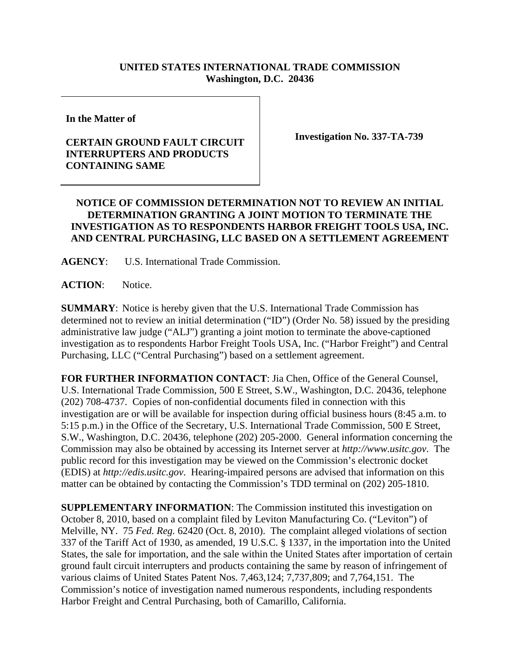## **UNITED STATES INTERNATIONAL TRADE COMMISSION Washington, D.C. 20436**

**In the Matter of** 

## **CERTAIN GROUND FAULT CIRCUIT INTERRUPTERS AND PRODUCTS CONTAINING SAME**

**Investigation No. 337-TA-739** 

## **NOTICE OF COMMISSION DETERMINATION NOT TO REVIEW AN INITIAL DETERMINATION GRANTING A JOINT MOTION TO TERMINATE THE INVESTIGATION AS TO RESPONDENTS HARBOR FREIGHT TOOLS USA, INC. AND CENTRAL PURCHASING, LLC BASED ON A SETTLEMENT AGREEMENT**

**AGENCY**: U.S. International Trade Commission.

ACTION: Notice.

**SUMMARY**: Notice is hereby given that the U.S. International Trade Commission has determined not to review an initial determination ("ID") (Order No. 58) issued by the presiding administrative law judge ("ALJ") granting a joint motion to terminate the above-captioned investigation as to respondents Harbor Freight Tools USA, Inc. ("Harbor Freight") and Central Purchasing, LLC ("Central Purchasing") based on a settlement agreement.

**FOR FURTHER INFORMATION CONTACT**: Jia Chen, Office of the General Counsel, U.S. International Trade Commission, 500 E Street, S.W., Washington, D.C. 20436, telephone (202) 708-4737. Copies of non-confidential documents filed in connection with this investigation are or will be available for inspection during official business hours (8:45 a.m. to 5:15 p.m.) in the Office of the Secretary, U.S. International Trade Commission, 500 E Street, S.W., Washington, D.C. 20436, telephone (202) 205-2000. General information concerning the Commission may also be obtained by accessing its Internet server at *http://www.usitc.gov*. The public record for this investigation may be viewed on the Commission's electronic docket (EDIS) at *http://edis.usitc.gov*. Hearing-impaired persons are advised that information on this matter can be obtained by contacting the Commission's TDD terminal on (202) 205-1810.

**SUPPLEMENTARY INFORMATION**: The Commission instituted this investigation on October 8, 2010, based on a complaint filed by Leviton Manufacturing Co. ("Leviton") of Melville, NY. 75 *Fed. Reg.* 62420 (Oct. 8, 2010). The complaint alleged violations of section 337 of the Tariff Act of 1930, as amended, 19 U.S.C. § 1337, in the importation into the United States, the sale for importation, and the sale within the United States after importation of certain ground fault circuit interrupters and products containing the same by reason of infringement of various claims of United States Patent Nos. 7,463,124; 7,737,809; and 7,764,151. The Commission's notice of investigation named numerous respondents, including respondents Harbor Freight and Central Purchasing, both of Camarillo, California.